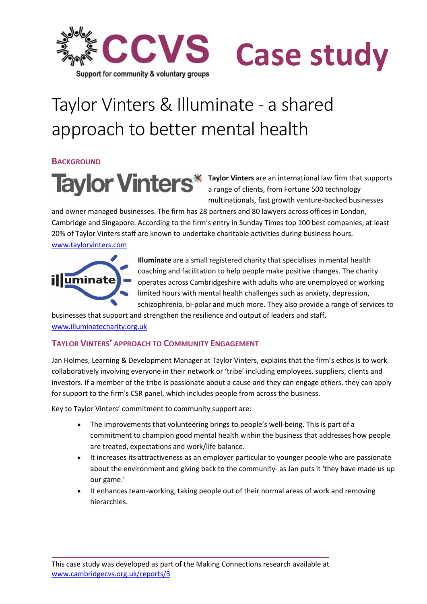

# Case study

## Taylor Vinters & Illuminate - a shared approach to better mental health

## **BACKGROUND**

Taylor Vinters are an international law firm that supports a range of clients, from Fortune 500 technology multinationals, fast growth venture-backed businesses

and owner managed businesses. The firm has 28 partners and 80 lawyers across offices in London, Cambridge and Singapore. According to the firm's entry in Sunday Times top 100 best companies, at least 20% of Taylor Vinters staff are known to undertake charitable activities during business hours. www.taylorvinters.com



Illuminate are a small registered charity that specialises in mental health coaching and facilitation to help people make positive changes. The charity operates across Cambridgeshire with adults who are unemployed or working limited hours with mental health challenges such as anxiety, depression, schizophrenia, bi-polar and much more. They also provide a range of services to

businesses that support and strengthen the resilience and output of leaders and staff. www.illuminatecharity.org.uk

## TAYLOR VINTERS' APPROACH TO COMMUNITY ENGAGEMENT

Jan Holmes, Learning & Development Manager at Taylor Vinters, explains that the firm's ethos is to work collaboratively involving everyone in their network or 'tribe' including employees, suppliers, clients and investors. If a member of the tribe is passionate about a cause and they can engage others, they can apply for support to the firm's CSR panel, which includes people from across the business.

Key to Taylor Vinters' commitment to community support are:

- The improvements that volunteering brings to people's well-being. This is part of a commitment to champion good mental health within the business that addresses how people are treated, expectations and work/life balance.
- It increases its attractiveness as an employer particular to younger people who are passionate about the environment and giving back to the community- as Jan puts it 'they have made us up our game.'
- It enhances team-working, taking people out of their normal areas of work and removing hierarchies.